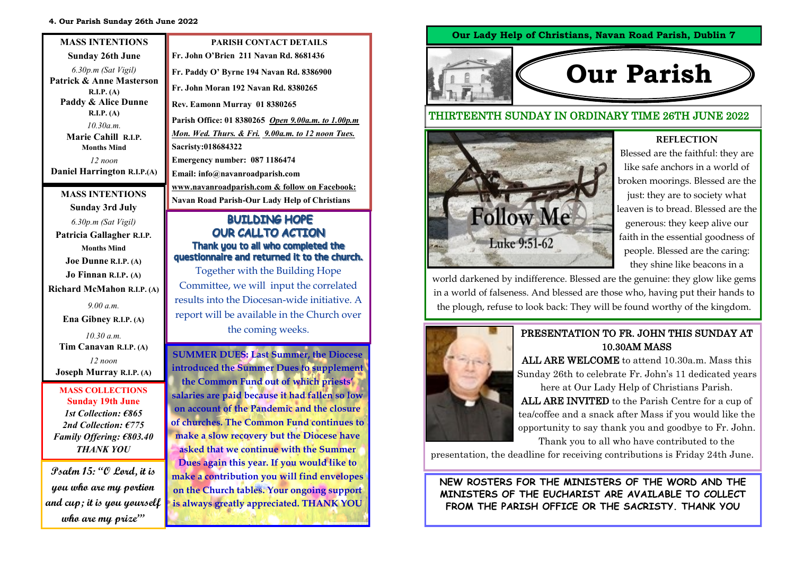#### **4. Our Parish Sunday 26th June 2022**

### **MASS INTENTIONS PARISH CONTACT DETAILS Sunday 26th June Fr. John O'Brien 211 Navan Rd. 8681436** *6.30p.m (Sat Vigil)*  **Patrick & Anne Masterson Fr. John Moran 192 Navan Rd. 8380265 R.I.P. (A) Paddy & Alice Dunne Rev. Eamonn Murray 01 8380265 R.I.P. (A)** *10.30a.m.*  **Marie Cahill R.I.P. Months Mind Sacristy:018684322 Emergency number: 087 1186474**  *12 noon* **Daniel Harrington R.I.P.(A) Email: info@navanroadparish.com MASS INTENTIONS Sunday 3rd July BUILDING HOPE** *6.30p.m (Sat Vigil)*  **OUR CALLTO ACTION Patricia Gallagher R.I.P. Months Mind Joe Dunne R.I.P. (A)**  Together with the Building Hope **Jo Finnan R.I.P. (A) Richard McMahon R.I.P. (A)** *9.00 a.m.*  **Ena Gibney R.I.P. (A)** the coming weeks. *10.30 a.m.* **Tim Canavan R.I.P. (A)**  *12 noon*  **Joseph Murray R.I.P. (A) MASS COLLECTIONS**

**Sunday 19th June**  *1st Collection: €865 2nd Collection: €775 Family Offering: €803.40 THANK YOU* 

**Psalm 15: "O Lord, it is you who are my portion and cup; it is you yourself who are my prize"'**

**Fr. Paddy O' Byrne 194 Navan Rd. 8386900 Parish Office: 01 8380265** *Open 9.00a.m. to 1.00p.m Mon. Wed. Thurs. & Fri. 9.00a.m. to 12 noon Tues.*  **www.navanroadparish.com & follow on Facebook: Navan Road Parish-Our Lady Help of Christians** 

# Thank you to all who completed the questionnaire and returned it to the church.

Committee, we will input the correlated results into the Diocesan-wide initiative. A report will be available in the Church over

**SUMMER DUES: Last Summer, the Diocese introduced the Summer Dues to supplement the Common Fund out of which priests' salaries are paid because it had fallen so low on account of the Pandemic and the closure of churches. The Common Fund continues to make a slow recovery but the Diocese have asked that we continue with the Summer Dues again this year. If you would like to make a contribution you will find envelopes on the Church tables. Your ongoing support is always greatly appreciated. THANK YOU**

### **Our Lady Help of Christians, Navan Road Parish, Dublin 7**



### THIRTEENTH SUNDAY IN ORDINARY TIME 26TH JUNE 2022



Blessed are the faithful: they are like safe anchors in a world of broken moorings. Blessed are the just: they are to society what leaven is to bread. Blessed are the generous: they keep alive our faith in the essential goodness of people. Blessed are the caring: they shine like beacons in a

**REFLECTION** 

world darkened by indifference. Blessed are the genuine: they glow like gems in a world of falseness. And blessed are those who, having put their hands to the plough, refuse to look back: They will be found worthy of the kingdom.



### PRESENTATION TO FR. JOHN THIS SUNDAY AT 10.30AM MASS

ALL ARE WELCOME to attend 10.30a.m. Mass this Sunday 26th to celebrate Fr. John's 11 dedicated years here at Our Lady Help of Christians Parish. ALL ARE INVITED to the Parish Centre for a cup of tea/coffee and a snack after Mass if you would like the opportunity to say thank you and goodbye to Fr. John. Thank you to all who have contributed to the

presentation, the deadline for receiving contributions is Friday 24th June.

**NEW ROSTERS FOR THE MINISTERS OF THE WORD AND THE MINISTERS OF THE EUCHARIST ARE AVAILABLE TO COLLECT FROM THE PARISH OFFICE OR THE SACRISTY. THANK YOU**